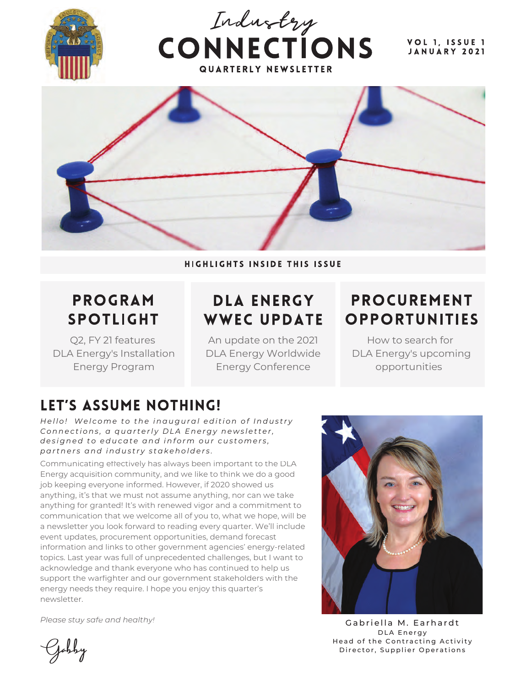

HIGHLIGHTS INSIDE THIS ISSUE

# **PROGRAM SPOTLIGHT**

Q2, FY 21 features DLA Energy's Installation Energy Program

# **DLA ENERGY WWEC UPDATE**

An update on the 2021 DLA Energy Worldwide Energy Conference

### **PROCUREMENT OPPORTUNITIES**

How to search for DLA Energy's upcoming opportunities

# LET'S ASSUME NOTHING!

*Hello! Welcome to the inaugural edition of Industry Connections, a quarterly DLA Energy newsletter, designed to educate and inform our customers, partners and industry stakeholders.*

Communicating effectively has always been important to the DLA Energy acquisition community, and we like to think we do a good job keeping everyone informed. However, if 2020 showed us anything, it's that we must not assume anything, nor can we take anything for granted! It's with renewed vigor and a commitment to communication that we welcome all of you to, what we hope, will be a newsletter you look forward to reading every quarter. We'll include event updates, procurement opportunities, demand forecast information and links to other government agencies' energy-related topics. Last year was full of unprecedented challenges, but I want to acknowledge and thank everyone who has continued to help us support the warfighter and our government stakeholders with the energy needs they require. I hope you enjoy this quarter's newsletter.

*Please stay safe and healthy!*

Gabriella M. Earhardt DLA Energy Head of the Contracting Activity Jobby Director, Supplier Operations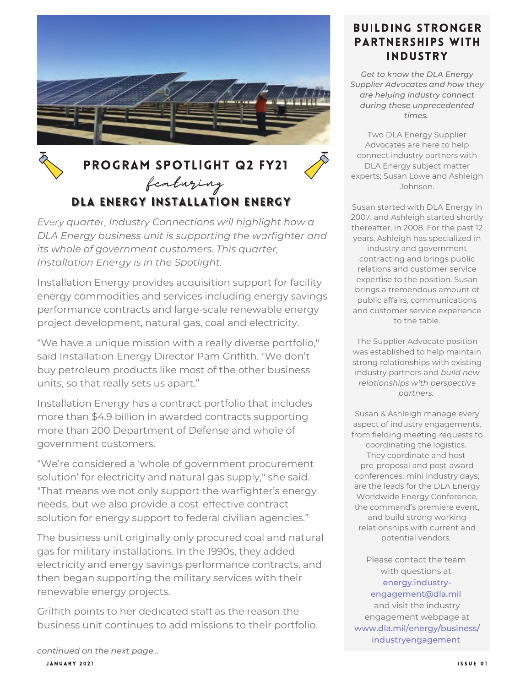

# PROGRAM SPOTLIGHT Q2 FY21 featuring<br>DLA ENERGY INSTALLATION ENERGY

*Every quarter, Industry Connections will highlight how a DLA Energy business unit is supporting the warfighter and its whole of government customers. This quarter, Installation Energy is in the Spotlight.*

Installation Energy provides acquisition support for facility energy commodities and services including energy savings performance contracts and large-scale renewable energy project development, natural gas, coal and electricity.

"We have a unique mission with a really diverse portfolio," said Installation Energy Director Pam Griffith. "We don't buy petroleum products like most of the other business units, so that really sets us apart."

Installation Energy has a contract portfolio that includes more than \$4.9 billion in awarded contracts supporting more than 200 Department of Defense and whole of government customers.

"We're considered a 'whole of government procurement solution' for electricity and natural gas supply," she said. "That means we not only support the warfighter's energy needs, but we also provide a cost-effective contract solution for energy support to federal civilian agencies."

The business unit originally only procured coal and natural gas for military installations. In the 1990s, they added electricity and energy savings performance contracts, and then began supporting the military services with their renewable energy projects.

Griffith points to her dedicated staff as the reason the business unit continues to add missions to their portfolio.

#### **BUILDING STRONGER PARTNERSHIPS WITH INDUSTRY**

*Get to know the DLA Energy Supplier Advocates and how they are helping industry connect during these unprecedented times.*

Two DLA Energy Supplier Advocates are here to help connect industry partners with DLA Energy subject matter experts; Susan Lowe and Ashleigh Johnson.

Susan started with DLA Energy in 2007, and Ashleigh started shortly thereafter, in 2008. For the past 12 years, Ashleigh has specialized in industry and government contracting and brings public relations and customer service expertise to the position. Susan brings a tremendous amount of public affairs, communications and customer service experience to the table.

The Supplier Advocate position was established to help maintain strong relationships with existing industry partners and *build new relationships with perspective partners.*

Susan & Ashleigh manage every aspect of industry engagements, from fielding meeting requests to coordinating the logistics. They coordinate and host pre-proposal and post-award conferences; mini industry days; are the leads for the DLA Energy Worldwide Energy Conference, the command's premiere event, and build strong working relationships with current and potential vendors.

Please contact the team with questions at energy.industryengagement@dla.mil and visit the industry engagement webpage at www.dla.mil/energy/business/ industryengagement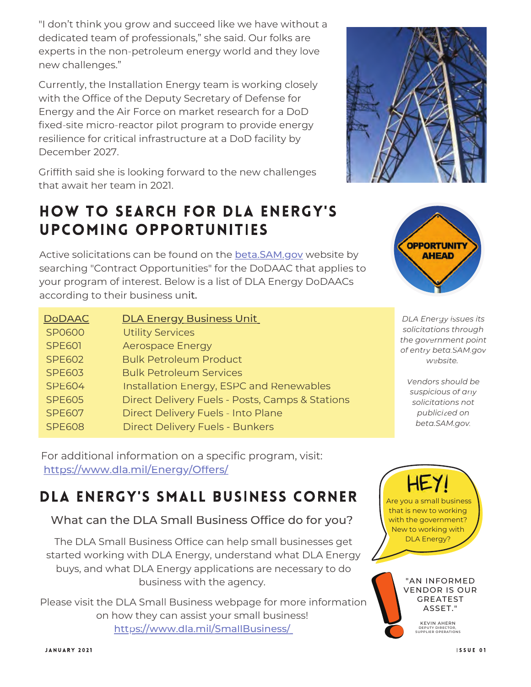"I don't think you grow and succeed like we have without a dedicated team of professionals," she said. Our folks are experts in the non-petroleum energy world and they love new challenges."

Currently, the Installation Energy team is working closely with the Office of the Deputy Secretary of Defense for Energy and the Air Force on market research for a DoD fixed-site micro-reactor pilot program to provide energy resilience for critical infrastructure at a DoD facility by December 2027.

Griffith said she is looking forward to the new challenges that await her team in 2021.

#### **HOW TO SEARCH FOR DLA ENERGY'S** UPCOMING OPPORTUNITIES

Active solicitations can be found on the **beta.SAM.gov** website by searching "Contract Opportunities" for the DoDAAC that applies to your program of interest. Below is a list of DLA Energy DoDAACs according to their business unit.

| <b>DoDAAC</b> | <b>DLA Energy Business Unit</b>                 |
|---------------|-------------------------------------------------|
| SP0600        | <b>Utility Services</b>                         |
| <b>SPE601</b> | <b>Aerospace Energy</b>                         |
| <b>SPE602</b> | <b>Bulk Petroleum Product</b>                   |
| <b>SPE603</b> | <b>Bulk Petroleum Services</b>                  |
| <b>SPE604</b> | Installation Energy, ESPC and Renewables        |
| <b>SPE605</b> | Direct Delivery Fuels - Posts, Camps & Stations |
| <b>SPE607</b> | Direct Delivery Fuels - Into Plane              |
| <b>SPE608</b> | <b>Direct Delivery Fuels - Bunkers</b>          |

For additional information on a specific program, visit: https://www.dla.mil/Energy/Offers/

#### DLA ENERGY'S SMALL BUSINESS CORNER

What can the DLA Small Business Office do for you?

The DLA Small Business Office can help small businesses get started working with DLA Energy, understand what DLA Energy buys, and what DLA Energy applications are necessary to do business with the agency.

Please visit the DLA Small Business webpage for more information on how they can assist your small business! https://www.dla.mil/SmallBusiness/





*DLA Energy issues its solicitations through the government point of entry beta.SAM.gov website.*

*Vendors should be suspicious of any solicitations not publicized on beta.SAM.gov.*